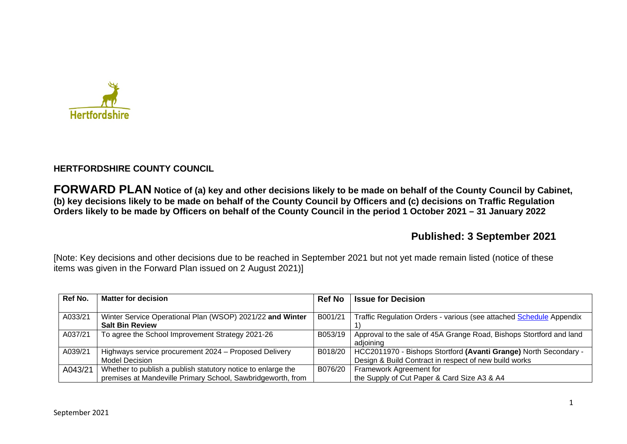

## **HERTFORDSHIRE COUNTY COUNCIL**

**FORWARD PLAN Notice of (a) key and other decisions likely to be made on behalf of the County Council by Cabinet, (b) key decisions likely to be made on behalf of the County Council by Officers and (c) decisions on Traffic Regulation Orders likely to be made by Officers on behalf of the County Council in the period 1 October 2021 – 31 January 2022** 

## **Published: 3 September 2021**

[Note: Key decisions and other decisions due to be reached in September 2021 but not yet made remain listed (notice of these items was given in the Forward Plan issued on 2 August 2021)]

| Ref No. | <b>Matter for decision</b>                                   | <b>Ref No</b> | <b>Issue for Decision</b>                                           |
|---------|--------------------------------------------------------------|---------------|---------------------------------------------------------------------|
|         |                                                              |               |                                                                     |
| A033/21 | Winter Service Operational Plan (WSOP) 2021/22 and Winter    | B001/21       | Traffic Regulation Orders - various (see attached Schedule Appendix |
|         | <b>Salt Bin Review</b>                                       |               |                                                                     |
| A037/21 | To agree the School Improvement Strategy 2021-26             | B053/19       | Approval to the sale of 45A Grange Road, Bishops Stortford and land |
|         |                                                              |               | adjoining                                                           |
| A039/21 | Highways service procurement 2024 - Proposed Delivery        | B018/20       | HCC2011970 - Bishops Stortford (Avanti Grange) North Secondary -    |
|         | Model Decision                                               |               | Design & Build Contract in respect of new build works               |
| A043/21 | Whether to publish a publish statutory notice to enlarge the | B076/20       | Framework Agreement for                                             |
|         | premises at Mandeville Primary School, Sawbridgeworth, from  |               | the Supply of Cut Paper & Card Size A3 & A4                         |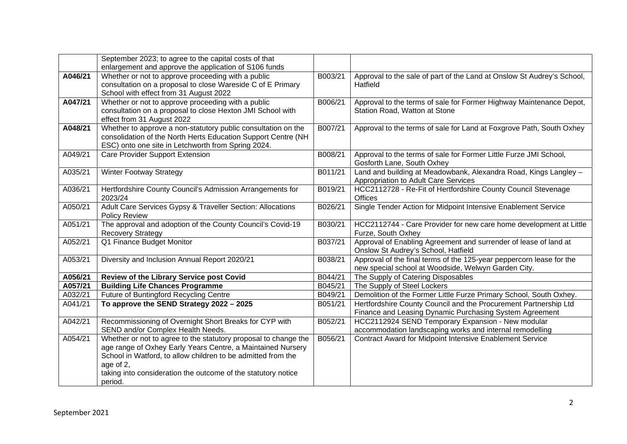|         | September 2023; to agree to the capital costs of that           |         |                                                                        |
|---------|-----------------------------------------------------------------|---------|------------------------------------------------------------------------|
|         | enlargement and approve the application of S106 funds           |         |                                                                        |
| A046/21 | Whether or not to approve proceeding with a public              | B003/21 | Approval to the sale of part of the Land at Onslow St Audrey's School, |
|         | consultation on a proposal to close Wareside C of E Primary     |         | Hatfield                                                               |
|         | School with effect from 31 August 2022                          |         |                                                                        |
| A047/21 | Whether or not to approve proceeding with a public              | B006/21 | Approval to the terms of sale for Former Highway Maintenance Depot,    |
|         | consultation on a proposal to close Hexton JMI School with      |         | Station Road, Watton at Stone                                          |
|         | effect from 31 August 2022                                      |         |                                                                        |
| A048/21 | Whether to approve a non-statutory public consultation on the   | B007/21 | Approval to the terms of sale for Land at Foxgrove Path, South Oxhey   |
|         | consolidation of the North Herts Education Support Centre (NH   |         |                                                                        |
|         | ESC) onto one site in Letchworth from Spring 2024.              |         |                                                                        |
| A049/21 | <b>Care Provider Support Extension</b>                          | B008/21 | Approval to the terms of sale for Former Little Furze JMI School,      |
|         |                                                                 |         | Gosforth Lane, South Oxhey                                             |
| A035/21 | <b>Winter Footway Strategy</b>                                  | B011/21 | Land and building at Meadowbank, Alexandra Road, Kings Langley -       |
|         |                                                                 |         | Appropriation to Adult Care Services                                   |
| A036/21 | Hertfordshire County Council's Admission Arrangements for       | B019/21 | HCC2112728 - Re-Fit of Hertfordshire County Council Stevenage          |
|         | 2023/24                                                         |         | <b>Offices</b>                                                         |
| A050/21 | Adult Care Services Gypsy & Traveller Section: Allocations      | B026/21 | Single Tender Action for Midpoint Intensive Enablement Service         |
|         | <b>Policy Review</b>                                            |         |                                                                        |
| A051/21 | The approval and adoption of the County Council's Covid-19      | B030/21 | HCC2112744 - Care Provider for new care home development at Little     |
|         | <b>Recovery Strategy</b>                                        |         | Furze, South Oxhey                                                     |
| A052/21 | Q1 Finance Budget Monitor                                       | B037/21 | Approval of Enabling Agreement and surrender of lease of land at       |
|         |                                                                 |         | Onslow St Audrey's School, Hatfield                                    |
| A053/21 | Diversity and Inclusion Annual Report 2020/21                   | B038/21 | Approval of the final terms of the 125-year peppercorn lease for the   |
|         |                                                                 |         | new special school at Woodside, Welwyn Garden City.                    |
| A056/21 | Review of the Library Service post Covid                        | B044/21 | The Supply of Catering Disposables                                     |
| A057/21 | <b>Building Life Chances Programme</b>                          | B045/21 | The Supply of Steel Lockers                                            |
| A032/21 | Future of Buntingford Recycling Centre                          | B049/21 | Demolition of the Former Little Furze Primary School, South Oxhey.     |
| A041/21 | To approve the SEND Strategy 2022 - 2025                        | B051/21 | Hertfordshire County Council and the Procurement Partnership Ltd       |
|         |                                                                 |         | Finance and Leasing Dynamic Purchasing System Agreement                |
| A042/21 | Recommissioning of Overnight Short Breaks for CYP with          | B052/21 | HCC2112924 SEND Temporary Expansion - New modular                      |
|         | SEND and/or Complex Health Needs.                               |         | accommodation landscaping works and internal remodelling               |
| A054/21 | Whether or not to agree to the statutory proposal to change the | B056/21 | <b>Contract Award for Midpoint Intensive Enablement Service</b>        |
|         | age range of Oxhey Early Years Centre, a Maintained Nursery     |         |                                                                        |
|         | School in Watford, to allow children to be admitted from the    |         |                                                                        |
|         | age of 2,                                                       |         |                                                                        |
|         | taking into consideration the outcome of the statutory notice   |         |                                                                        |
|         | period.                                                         |         |                                                                        |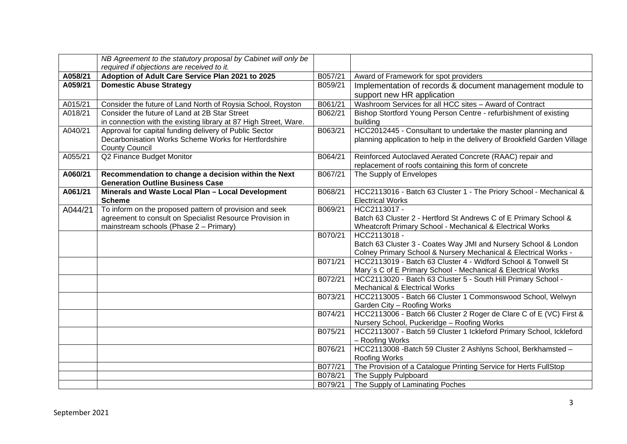|         | NB Agreement to the statutory proposal by Cabinet will only be<br>required if objections are received to it.                            |         |                                                                                                                                           |
|---------|-----------------------------------------------------------------------------------------------------------------------------------------|---------|-------------------------------------------------------------------------------------------------------------------------------------------|
| A058/21 | Adoption of Adult Care Service Plan 2021 to 2025                                                                                        | B057/21 | Award of Framework for spot providers                                                                                                     |
| A059/21 | <b>Domestic Abuse Strategy</b>                                                                                                          | B059/21 | Implementation of records & document management module to                                                                                 |
|         |                                                                                                                                         |         | support new HR application                                                                                                                |
| A015/21 | Consider the future of Land North of Roysia School, Royston                                                                             | B061/21 | Washroom Services for all HCC sites - Award of Contract                                                                                   |
| A018/21 | Consider the future of Land at 2B Star Street<br>in connection with the existing library at 87 High Street, Ware.                       | B062/21 | Bishop Stortford Young Person Centre - refurbishment of existing<br>building                                                              |
| A040/21 | Approval for capital funding delivery of Public Sector<br>Decarbonisation Works Scheme Works for Hertfordshire<br><b>County Council</b> | B063/21 | HCC2012445 - Consultant to undertake the master planning and<br>planning application to help in the delivery of Brookfield Garden Village |
| A055/21 | Q2 Finance Budget Monitor                                                                                                               | B064/21 | Reinforced Autoclaved Aerated Concrete (RAAC) repair and                                                                                  |
|         |                                                                                                                                         |         | replacement of roofs containing this form of concrete                                                                                     |
| A060/21 | Recommendation to change a decision within the Next                                                                                     | B067/21 | The Supply of Envelopes                                                                                                                   |
|         | <b>Generation Outline Business Case</b>                                                                                                 |         |                                                                                                                                           |
| A061/21 | Minerals and Waste Local Plan - Local Development<br><b>Scheme</b>                                                                      | B068/21 | HCC2113016 - Batch 63 Cluster 1 - The Priory School - Mechanical &<br><b>Electrical Works</b>                                             |
|         | To inform on the proposed pattern of provision and seek                                                                                 | B069/21 | HCC2113017 -                                                                                                                              |
| A044/21 | agreement to consult on Specialist Resource Provision in                                                                                |         | Batch 63 Cluster 2 - Hertford St Andrews C of E Primary School &                                                                          |
|         | mainstream schools (Phase 2 - Primary)                                                                                                  |         | Wheatcroft Primary School - Mechanical & Electrical Works                                                                                 |
|         |                                                                                                                                         | B070/21 | HCC2113018 -                                                                                                                              |
|         |                                                                                                                                         |         | Batch 63 Cluster 3 - Coates Way JMI and Nursery School & London                                                                           |
|         |                                                                                                                                         |         | Colney Primary School & Nursery Mechanical & Electrical Works -                                                                           |
|         |                                                                                                                                         | B071/21 | HCC2113019 - Batch 63 Cluster 4 - Widford School & Tonwell St                                                                             |
|         |                                                                                                                                         |         | Mary's C of E Primary School - Mechanical & Electrical Works                                                                              |
|         |                                                                                                                                         | B072/21 | HCC2113020 - Batch 63 Cluster 5 - South Hill Primary School -                                                                             |
|         |                                                                                                                                         |         | <b>Mechanical &amp; Electrical Works</b>                                                                                                  |
|         |                                                                                                                                         | B073/21 | HCC2113005 - Batch 66 Cluster 1 Commonswood School, Welwyn                                                                                |
|         |                                                                                                                                         | B074/21 | Garden City - Roofing Works<br>HCC2113006 - Batch 66 Cluster 2 Roger de Clare C of E (VC) First &                                         |
|         |                                                                                                                                         |         | Nursery School, Puckeridge - Roofing Works                                                                                                |
|         |                                                                                                                                         | B075/21 | HCC2113007 - Batch 59 Cluster 1 Ickleford Primary School, Ickleford                                                                       |
|         |                                                                                                                                         |         | - Roofing Works                                                                                                                           |
|         |                                                                                                                                         | B076/21 | HCC2113008 - Batch 59 Cluster 2 Ashlyns School, Berkhamsted -                                                                             |
|         |                                                                                                                                         |         | <b>Roofing Works</b>                                                                                                                      |
|         |                                                                                                                                         | B077/21 | The Provision of a Catalogue Printing Service for Herts FullStop                                                                          |
|         |                                                                                                                                         | B078/21 | The Supply Pulpboard                                                                                                                      |
|         |                                                                                                                                         | B079/21 | The Supply of Laminating Poches                                                                                                           |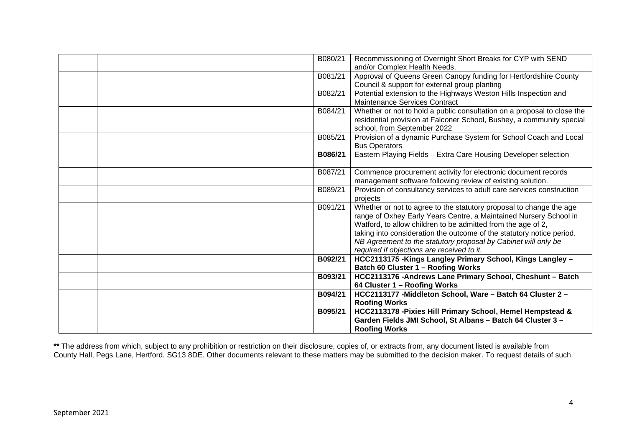| B080/21 | Recommissioning of Overnight Short Breaks for CYP with SEND<br>and/or Complex Health Needs.                                                                                                                                                                                                                                                                                                       |
|---------|---------------------------------------------------------------------------------------------------------------------------------------------------------------------------------------------------------------------------------------------------------------------------------------------------------------------------------------------------------------------------------------------------|
| B081/21 | Approval of Queens Green Canopy funding for Hertfordshire County<br>Council & support for external group planting                                                                                                                                                                                                                                                                                 |
| B082/21 | Potential extension to the Highways Weston Hills Inspection and<br>Maintenance Services Contract                                                                                                                                                                                                                                                                                                  |
| B084/21 | Whether or not to hold a public consultation on a proposal to close the<br>residential provision at Falconer School, Bushey, a community special<br>school, from September 2022                                                                                                                                                                                                                   |
| B085/21 | Provision of a dynamic Purchase System for School Coach and Local<br><b>Bus Operators</b>                                                                                                                                                                                                                                                                                                         |
| B086/21 | Eastern Playing Fields - Extra Care Housing Developer selection                                                                                                                                                                                                                                                                                                                                   |
| B087/21 | Commence procurement activity for electronic document records<br>management software following review of existing solution.                                                                                                                                                                                                                                                                       |
| B089/21 | Provision of consultancy services to adult care services construction<br>projects                                                                                                                                                                                                                                                                                                                 |
| B091/21 | Whether or not to agree to the statutory proposal to change the age<br>range of Oxhey Early Years Centre, a Maintained Nursery School in<br>Watford, to allow children to be admitted from the age of 2,<br>taking into consideration the outcome of the statutory notice period.<br>NB Agreement to the statutory proposal by Cabinet will only be<br>required if objections are received to it. |
| B092/21 | HCC2113175 - Kings Langley Primary School, Kings Langley -<br>Batch 60 Cluster 1 - Roofing Works                                                                                                                                                                                                                                                                                                  |
| B093/21 | HCC2113176 - Andrews Lane Primary School, Cheshunt - Batch<br>64 Cluster 1 - Roofing Works                                                                                                                                                                                                                                                                                                        |
| B094/21 | HCC2113177 - Middleton School, Ware - Batch 64 Cluster 2 -<br><b>Roofing Works</b>                                                                                                                                                                                                                                                                                                                |
| B095/21 | HCC2113178 - Pixies Hill Primary School, Hemel Hempstead &<br>Garden Fields JMI School, St Albans - Batch 64 Cluster 3 -<br><b>Roofing Works</b>                                                                                                                                                                                                                                                  |

**\*\*** The address from which, subject to any prohibition or restriction on their disclosure, copies of, or extracts from, any document listed is available from County Hall, Pegs Lane, Hertford. SG13 8DE. Other documents relevant to these matters may be submitted to the decision maker. To request details of such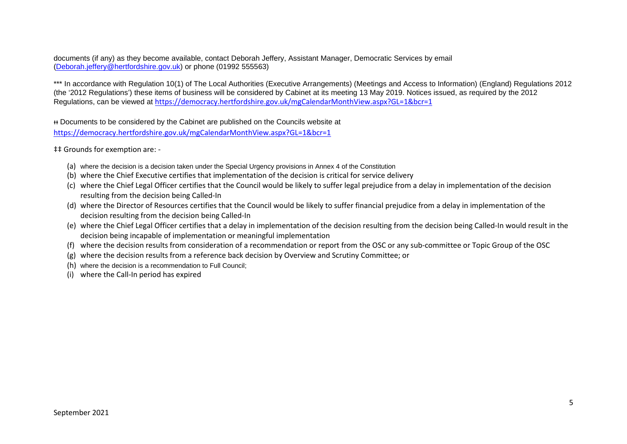documents (if any) as they become available, contact Deborah Jeffery, Assistant Manager, Democratic Services by email (Deborah.jeffery@hertfordshire.gov.uk) or phone (01992 555563)

\*\*\* In accordance with Regulation 10(1) of The Local Authorities (Executive Arrangements) (Meetings and Access to Information) (England) Regulations 2012 (the '2012 Regulations') these items of business will be considered by Cabinet at its meeting 13 May 2019. Notices issued, as required by the 2012 Regulations, can be viewed at https://democracy.hertfordshire.gov.uk/mgCalendarMonthView.aspx?GL=1&bcr=1

ᵻᵻ Documents to be considered by the Cabinet are published on the Councils website at https://democracy.hertfordshire.gov.uk/mgCalendarMonthView.aspx?GL=1&bcr=1

‡‡ Grounds for exemption are: -

- (a) where the decision is a decision taken under the Special Urgency provisions in Annex 4 of the Constitution
- (b) where the Chief Executive certifies that implementation of the decision is critical for service delivery
- (c) where the Chief Legal Officer certifies that the Council would be likely to suffer legal prejudice from a delay in implementation of the decision resulting from the decision being Called-In
- (d) where the Director of Resources certifies that the Council would be likely to suffer financial prejudice from a delay in implementation of the decision resulting from the decision being Called-In
- (e) where the Chief Legal Officer certifies that a delay in implementation of the decision resulting from the decision being Called-In would result in the decision being incapable of implementation or meaningful implementation
- (f) where the decision results from consideration of a recommendation or report from the OSC or any sub-committee or Topic Group of the OSC
- (g) where the decision results from a reference back decision by Overview and Scrutiny Committee; or
- (h) where the decision is a recommendation to Full Council;
- (i) where the Call-In period has expired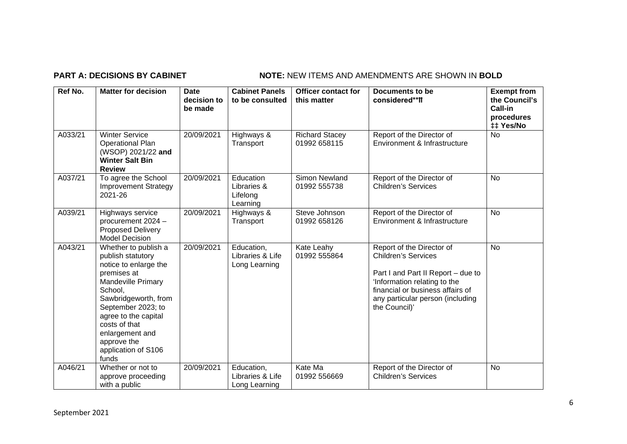## **PART A: DECISIONS BY CABINET NOTE:** NEW ITEMS AND AMENDMENTS ARE SHOWN IN BOLD

| Ref No. | <b>Matter for decision</b>                                                                                                                                                                                                                                                         | <b>Date</b><br>decision to<br>be made | <b>Cabinet Panels</b><br>to be consulted         | <b>Officer contact for</b><br>this matter | Documents to be<br>considered**ff                                                                                                                                                                                      | <b>Exempt from</b><br>the Council's<br>Call-in<br>procedures<br>‡‡ Yes/No |
|---------|------------------------------------------------------------------------------------------------------------------------------------------------------------------------------------------------------------------------------------------------------------------------------------|---------------------------------------|--------------------------------------------------|-------------------------------------------|------------------------------------------------------------------------------------------------------------------------------------------------------------------------------------------------------------------------|---------------------------------------------------------------------------|
| A033/21 | <b>Winter Service</b><br><b>Operational Plan</b><br>(WSOP) 2021/22 and<br><b>Winter Salt Bin</b><br><b>Review</b>                                                                                                                                                                  | 20/09/2021                            | Highways &<br>Transport                          | <b>Richard Stacey</b><br>01992 658115     | Report of the Director of<br>Environment & Infrastructure                                                                                                                                                              | <b>No</b>                                                                 |
| A037/21 | To agree the School<br><b>Improvement Strategy</b><br>2021-26                                                                                                                                                                                                                      | 20/09/2021                            | Education<br>Libraries &<br>Lifelong<br>Learning | Simon Newland<br>01992 555738             | Report of the Director of<br><b>Children's Services</b>                                                                                                                                                                | <b>No</b>                                                                 |
| A039/21 | Highways service<br>procurement 2024 -<br><b>Proposed Delivery</b><br><b>Model Decision</b>                                                                                                                                                                                        | 20/09/2021                            | Highways &<br>Transport                          | Steve Johnson<br>01992 658126             | Report of the Director of<br>Environment & Infrastructure                                                                                                                                                              | <b>No</b>                                                                 |
| A043/21 | Whether to publish a<br>publish statutory<br>notice to enlarge the<br>premises at<br><b>Mandeville Primary</b><br>School,<br>Sawbridgeworth, from<br>September 2023; to<br>agree to the capital<br>costs of that<br>enlargement and<br>approve the<br>application of S106<br>funds | 20/09/2021                            | Education,<br>Libraries & Life<br>Long Learning  | Kate Leahy<br>01992 555864                | Report of the Director of<br><b>Children's Services</b><br>Part I and Part II Report - due to<br>'Information relating to the<br>financial or business affairs of<br>any particular person (including<br>the Council)' | <b>No</b>                                                                 |
| A046/21 | Whether or not to<br>approve proceeding<br>with a public                                                                                                                                                                                                                           | 20/09/2021                            | Education,<br>Libraries & Life<br>Long Learning  | Kate Ma<br>01992 556669                   | Report of the Director of<br><b>Children's Services</b>                                                                                                                                                                | <b>No</b>                                                                 |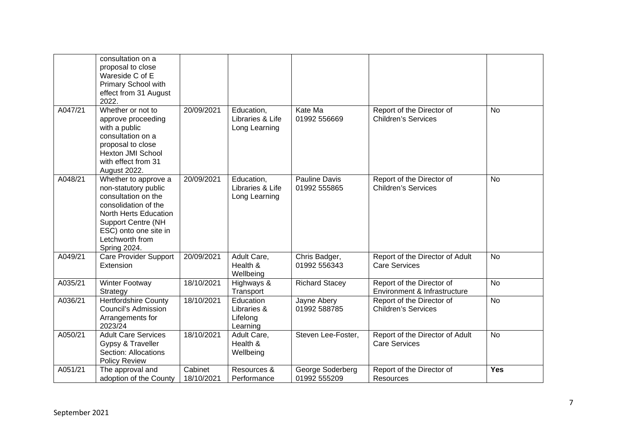|         | consultation on a<br>proposal to close<br>Wareside C of E<br>Primary School with<br>effect from 31 August<br>2022.                                                                                            |                       |                                                  |                                      |                                                           |                |
|---------|---------------------------------------------------------------------------------------------------------------------------------------------------------------------------------------------------------------|-----------------------|--------------------------------------------------|--------------------------------------|-----------------------------------------------------------|----------------|
| A047/21 | Whether or not to<br>approve proceeding<br>with a public<br>consultation on a<br>proposal to close<br><b>Hexton JMI School</b><br>with effect from 31<br>August 2022.                                         | 20/09/2021            | Education,<br>Libraries & Life<br>Long Learning  | Kate Ma<br>01992 556669              | Report of the Director of<br><b>Children's Services</b>   | N <sub>o</sub> |
| A048/21 | Whether to approve a<br>non-statutory public<br>consultation on the<br>consolidation of the<br>North Herts Education<br><b>Support Centre (NH</b><br>ESC) onto one site in<br>Letchworth from<br>Spring 2024. | 20/09/2021            | Education,<br>Libraries & Life<br>Long Learning  | <b>Pauline Davis</b><br>01992 555865 | Report of the Director of<br><b>Children's Services</b>   | <b>No</b>      |
| A049/21 | <b>Care Provider Support</b><br>Extension                                                                                                                                                                     | 20/09/2021            | Adult Care,<br>Health &<br>Wellbeing             | Chris Badger,<br>01992 556343        | Report of the Director of Adult<br><b>Care Services</b>   | No.            |
| A035/21 | Winter Footway<br>Strategy                                                                                                                                                                                    | 18/10/2021            | Highways &<br>Transport                          | <b>Richard Stacey</b>                | Report of the Director of<br>Environment & Infrastructure | <b>No</b>      |
| A036/21 | <b>Hertfordshire County</b><br><b>Council's Admission</b><br>Arrangements for<br>2023/24                                                                                                                      | 18/10/2021            | Education<br>Libraries &<br>Lifelong<br>Learning | Jayne Abery<br>01992 588785          | Report of the Director of<br><b>Children's Services</b>   | <b>No</b>      |
| A050/21 | <b>Adult Care Services</b><br>Gypsy & Traveller<br>Section: Allocations<br><b>Policy Review</b>                                                                                                               | 18/10/2021            | Adult Care,<br>Health &<br>Wellbeing             | Steven Lee-Foster,                   | Report of the Director of Adult<br><b>Care Services</b>   | <b>No</b>      |
| A051/21 | The approval and<br>adoption of the County                                                                                                                                                                    | Cabinet<br>18/10/2021 | Resources &<br>Performance                       | George Soderberg<br>01992 555209     | Report of the Director of<br>Resources                    | <b>Yes</b>     |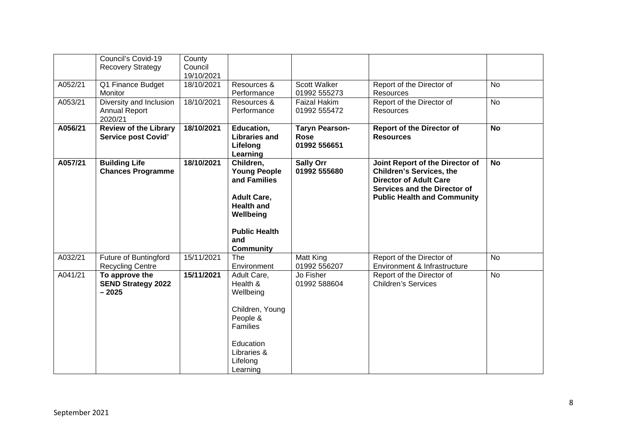|         | Council's Covid-19<br><b>Recovery Strategy</b>             | County<br>Council<br>19/10/2021 |                                                                                                                                                             |                                                      |                                                                                                                                                                                  |           |
|---------|------------------------------------------------------------|---------------------------------|-------------------------------------------------------------------------------------------------------------------------------------------------------------|------------------------------------------------------|----------------------------------------------------------------------------------------------------------------------------------------------------------------------------------|-----------|
| A052/21 | Q1 Finance Budget<br>Monitor                               | 18/10/2021                      | Resources &<br>Performance                                                                                                                                  | <b>Scott Walker</b><br>01992 555273                  | Report of the Director of<br>Resources                                                                                                                                           | <b>No</b> |
| A053/21 | Diversity and Inclusion<br><b>Annual Report</b><br>2020/21 | 18/10/2021                      | Resources &<br>Performance                                                                                                                                  | <b>Faizal Hakim</b><br>01992 555472                  | Report of the Director of<br><b>Resources</b>                                                                                                                                    | <b>No</b> |
| A056/21 | <b>Review of the Library</b><br><b>Service post Covid'</b> | 18/10/2021                      | Education,<br><b>Libraries and</b><br>Lifelong<br>Learning                                                                                                  | <b>Taryn Pearson-</b><br><b>Rose</b><br>01992 556651 | <b>Report of the Director of</b><br><b>Resources</b>                                                                                                                             | <b>No</b> |
| A057/21 | <b>Building Life</b><br><b>Chances Programme</b>           | 18/10/2021                      | Children,<br><b>Young People</b><br>and Families<br><b>Adult Care,</b><br><b>Health and</b><br>Wellbeing<br><b>Public Health</b><br>and<br><b>Community</b> | <b>Sally Orr</b><br>01992 555680                     | Joint Report of the Director of<br><b>Children's Services, the</b><br><b>Director of Adult Care</b><br><b>Services and the Director of</b><br><b>Public Health and Community</b> | <b>No</b> |
| A032/21 | Future of Buntingford<br><b>Recycling Centre</b>           | 15/11/2021                      | The<br>Environment                                                                                                                                          | Matt King<br>01992 556207                            | Report of the Director of<br>Environment & Infrastructure                                                                                                                        | <b>No</b> |
| A041/21 | To approve the<br><b>SEND Strategy 2022</b><br>$-2025$     | 15/11/2021                      | Adult Care,<br>Health &<br>Wellbeing<br>Children, Young<br>People &<br><b>Families</b><br>Education<br>Libraries &<br>Lifelong<br>Learning                  | Jo Fisher<br>01992 588604                            | Report of the Director of<br><b>Children's Services</b>                                                                                                                          | <b>No</b> |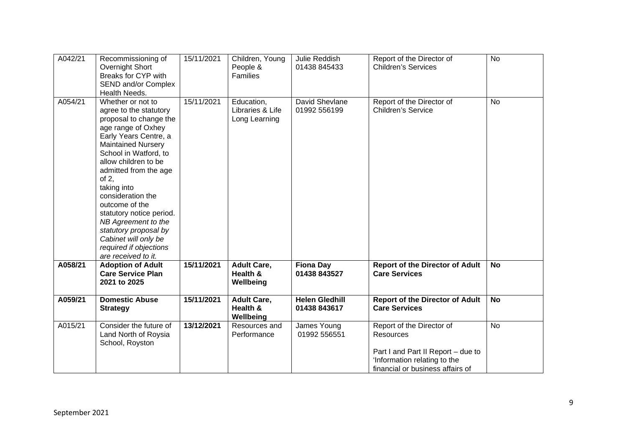| A042/21 | Recommissioning of<br>Overnight Short<br>Breaks for CYP with<br>SEND and/or Complex<br>Health Needs.                                                                                                                                                                                                                                                                                                                                               | 15/11/2021 | Children, Young<br>People &<br>Families         | Julie Reddish<br>01438 845433         | Report of the Director of<br><b>Children's Services</b>                                                                                          | <b>No</b> |
|---------|----------------------------------------------------------------------------------------------------------------------------------------------------------------------------------------------------------------------------------------------------------------------------------------------------------------------------------------------------------------------------------------------------------------------------------------------------|------------|-------------------------------------------------|---------------------------------------|--------------------------------------------------------------------------------------------------------------------------------------------------|-----------|
| A054/21 | Whether or not to<br>agree to the statutory<br>proposal to change the<br>age range of Oxhey<br>Early Years Centre, a<br><b>Maintained Nursery</b><br>School in Watford, to<br>allow children to be<br>admitted from the age<br>of $2$ ,<br>taking into<br>consideration the<br>outcome of the<br>statutory notice period.<br>NB Agreement to the<br>statutory proposal by<br>Cabinet will only be<br>required if objections<br>are received to it. | 15/11/2021 | Education,<br>Libraries & Life<br>Long Learning | David Shevlane<br>01992 556199        | Report of the Director of<br><b>Children's Service</b>                                                                                           | <b>No</b> |
| A058/21 | <b>Adoption of Adult</b><br><b>Care Service Plan</b><br>2021 to 2025                                                                                                                                                                                                                                                                                                                                                                               | 15/11/2021 | <b>Adult Care,</b><br>Health &<br>Wellbeing     | <b>Fiona Day</b><br>01438 843527      | <b>Report of the Director of Adult</b><br><b>Care Services</b>                                                                                   | <b>No</b> |
| A059/21 | <b>Domestic Abuse</b><br><b>Strategy</b>                                                                                                                                                                                                                                                                                                                                                                                                           | 15/11/2021 | <b>Adult Care,</b><br>Health &<br>Wellbeing     | <b>Helen Gledhill</b><br>01438 843617 | <b>Report of the Director of Adult</b><br><b>Care Services</b>                                                                                   | <b>No</b> |
| A015/21 | Consider the future of<br>Land North of Roysia<br>School, Royston                                                                                                                                                                                                                                                                                                                                                                                  | 13/12/2021 | Resources and<br>Performance                    | James Young<br>01992 556551           | Report of the Director of<br>Resources<br>Part I and Part II Report - due to<br>'Information relating to the<br>financial or business affairs of | <b>No</b> |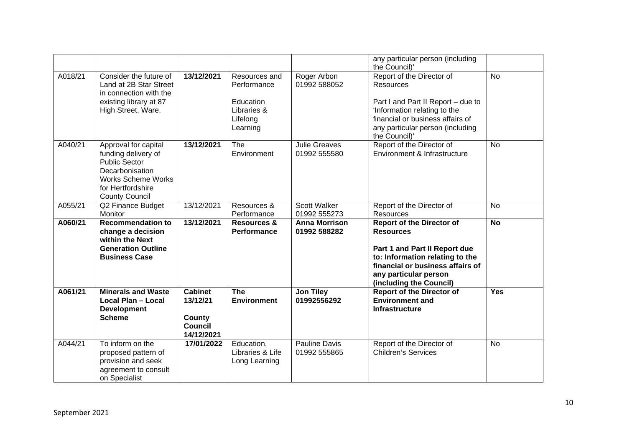|         |                                                                                                                                                                   |                                                                      |                                                                                  |                                      | any particular person (including<br>the Council)'                                                                                                                                                                |            |
|---------|-------------------------------------------------------------------------------------------------------------------------------------------------------------------|----------------------------------------------------------------------|----------------------------------------------------------------------------------|--------------------------------------|------------------------------------------------------------------------------------------------------------------------------------------------------------------------------------------------------------------|------------|
| A018/21 | Consider the future of<br>Land at 2B Star Street<br>in connection with the<br>existing library at 87<br>High Street, Ware.                                        | 13/12/2021                                                           | Resources and<br>Performance<br>Education<br>Libraries &<br>Lifelong<br>Learning | Roger Arbon<br>01992 588052          | Report of the Director of<br><b>Resources</b><br>Part I and Part II Report - due to<br>'Information relating to the<br>financial or business affairs of<br>any particular person (including<br>the Council)'     | <b>No</b>  |
| A040/21 | Approval for capital<br>funding delivery of<br><b>Public Sector</b><br>Decarbonisation<br><b>Works Scheme Works</b><br>for Hertfordshire<br><b>County Council</b> | 13/12/2021                                                           | The<br>Environment                                                               | <b>Julie Greaves</b><br>01992 555580 | Report of the Director of<br>Environment & Infrastructure                                                                                                                                                        | <b>No</b>  |
| A055/21 | Q2 Finance Budget<br>Monitor                                                                                                                                      | 13/12/2021                                                           | Resources &<br>Performance                                                       | <b>Scott Walker</b><br>01992 555273  | Report of the Director of<br>Resources                                                                                                                                                                           | <b>No</b>  |
| A060/21 | <b>Recommendation to</b><br>change a decision<br>within the Next<br><b>Generation Outline</b><br><b>Business Case</b>                                             | 13/12/2021                                                           | <b>Resources &amp;</b><br><b>Performance</b>                                     | <b>Anna Morrison</b><br>01992 588282 | <b>Report of the Director of</b><br><b>Resources</b><br>Part 1 and Part II Report due<br>to: Information relating to the<br>financial or business affairs of<br>any particular person<br>(including the Council) | <b>No</b>  |
| A061/21 | <b>Minerals and Waste</b><br><b>Local Plan - Local</b><br><b>Development</b><br><b>Scheme</b>                                                                     | <b>Cabinet</b><br>13/12/21<br>County<br><b>Council</b><br>14/12/2021 | <b>The</b><br><b>Environment</b>                                                 | <b>Jon Tiley</b><br>01992556292      | <b>Report of the Director of</b><br><b>Environment and</b><br><b>Infrastructure</b>                                                                                                                              | <b>Yes</b> |
| A044/21 | To inform on the<br>proposed pattern of<br>provision and seek<br>agreement to consult<br>on Specialist                                                            | 17/01/2022                                                           | Education,<br>Libraries & Life<br>Long Learning                                  | <b>Pauline Davis</b><br>01992 555865 | Report of the Director of<br><b>Children's Services</b>                                                                                                                                                          | <b>No</b>  |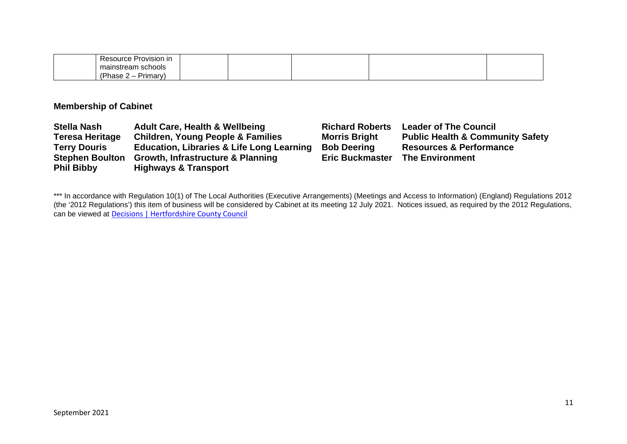| Provision in<br>source                                                |  |  |  |
|-----------------------------------------------------------------------|--|--|--|
| schools<br>$- - -$<br>$\sim$<br>nsuean<br>Tiđi                        |  |  |  |
| <sup>'o</sup> hase<br>rimary <sup>1</sup><br>$\overline{\phantom{0}}$ |  |  |  |

## **Membership of Cabinet**

| <b>Stella Nash</b>     | <b>Adult Care, Health &amp; Wellbeing</b>            | <b>Richard Roberts</b> | <b>Leader of The Council</b>                |
|------------------------|------------------------------------------------------|------------------------|---------------------------------------------|
| <b>Teresa Heritage</b> | <b>Children, Young People &amp; Families</b>         | <b>Morris Bright</b>   | <b>Public Health &amp; Community Safety</b> |
| <b>Terry Douris</b>    | <b>Education, Libraries &amp; Life Long Learning</b> | <b>Bob Deering</b>     | <b>Resources &amp; Performance</b>          |
| <b>Stephen Boulton</b> | <b>Growth, Infrastructure &amp; Planning</b>         | <b>Eric Buckmaster</b> | <b>The Environment</b>                      |
| <b>Phil Bibby</b>      | <b>Highways &amp; Transport</b>                      |                        |                                             |

\*\*\* In accordance with Regulation 10(1) of The Local Authorities (Executive Arrangements) (Meetings and Access to Information) (England) Regulations 2012 (the '2012 Regulations') this item of business will be considered by Cabinet at its meeting 12 July 2021. Notices issued, as required by the 2012 Regulations, can be viewed at Decisions | Hertfordshire County Council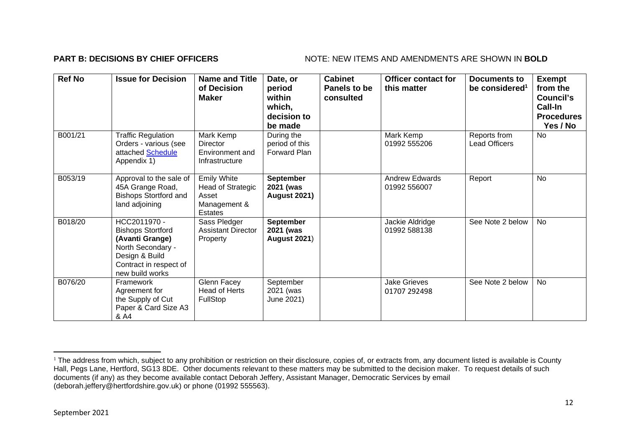### **PART B: DECISIONS BY CHIEF OFFICERS** NOTE: NEW ITEMS AND AMENDMENTS ARE SHOWN IN BOLD

| <b>Ref No</b> | <b>Issue for Decision</b>                                                                                                                       | <b>Name and Title</b><br>of Decision<br><b>Maker</b>                               | Date, or<br>period<br>within<br>which,<br>decision to<br>be made | <b>Cabinet</b><br>Panels to be<br>consulted | <b>Officer contact for</b><br>this matter | <b>Documents to</b><br>be considered <sup>1</sup> | <b>Exempt</b><br>from the<br>Council's<br>Call-In<br><b>Procedures</b><br>Yes / No |
|---------------|-------------------------------------------------------------------------------------------------------------------------------------------------|------------------------------------------------------------------------------------|------------------------------------------------------------------|---------------------------------------------|-------------------------------------------|---------------------------------------------------|------------------------------------------------------------------------------------|
| B001/21       | <b>Traffic Regulation</b><br>Orders - various (see<br>attached Schedule<br>Appendix 1)                                                          | Mark Kemp<br><b>Director</b><br>Environment and<br>Infrastructure                  | During the<br>period of this<br>Forward Plan                     |                                             | Mark Kemp<br>01992 555206                 | Reports from<br><b>Lead Officers</b>              | No                                                                                 |
| B053/19       | Approval to the sale of<br>45A Grange Road,<br><b>Bishops Stortford and</b><br>land adjoining                                                   | <b>Emily White</b><br>Head of Strategic<br>Asset<br>Management &<br><b>Estates</b> | <b>September</b><br>2021 (was<br><b>August 2021)</b>             |                                             | <b>Andrew Edwards</b><br>01992 556007     | Report                                            | <b>No</b>                                                                          |
| B018/20       | HCC2011970 -<br><b>Bishops Stortford</b><br>(Avanti Grange)<br>North Secondary -<br>Design & Build<br>Contract in respect of<br>new build works | Sass Pledger<br><b>Assistant Director</b><br>Property                              | <b>September</b><br>2021 (was<br><b>August 2021)</b>             |                                             | Jackie Aldridge<br>01992 588138           | See Note 2 below                                  | <b>No</b>                                                                          |
| B076/20       | Framework<br>Agreement for<br>the Supply of Cut<br>Paper & Card Size A3<br>& A4                                                                 | Glenn Facey<br>Head of Herts<br>FullStop                                           | September<br>2021 (was<br>June 2021)                             |                                             | <b>Jake Grieves</b><br>01707 292498       | See Note 2 below                                  | No                                                                                 |

<sup>&</sup>lt;sup>1</sup> The address from which, subject to any prohibition or restriction on their disclosure, copies of, or extracts from, any document listed is available is County Hall, Pegs Lane, Hertford, SG13 8DE. Other documents relevant to these matters may be submitted to the decision maker. To request details of such documents (if any) as they become available contact Deborah Jeffery, Assistant Manager, Democratic Services by email (deborah.jeffery@hertfordshire.gov.uk) or phone (01992 555563).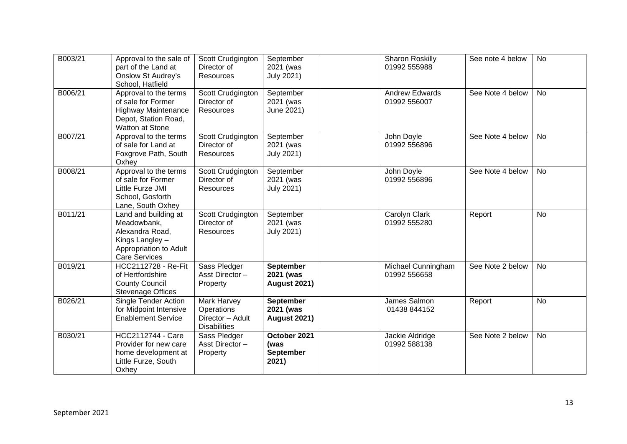| B003/21 | Approval to the sale of<br>part of the Land at<br><b>Onslow St Audrey's</b><br>School, Hatfield                             | Scott Crudgington<br>Director of<br><b>Resources</b>                 | September<br>2021 (was<br>July 2021)                 | <b>Sharon Roskilly</b><br>01992 555988 | See note 4 below | <b>No</b> |
|---------|-----------------------------------------------------------------------------------------------------------------------------|----------------------------------------------------------------------|------------------------------------------------------|----------------------------------------|------------------|-----------|
| B006/21 | Approval to the terms<br>of sale for Former<br><b>Highway Maintenance</b><br>Depot, Station Road,<br>Watton at Stone        | Scott Crudgington<br>Director of<br><b>Resources</b>                 | September<br>2021 (was<br>June 2021)                 | <b>Andrew Edwards</b><br>01992 556007  | See Note 4 below | <b>No</b> |
| B007/21 | Approval to the terms<br>of sale for Land at<br>Foxgrove Path, South<br>Oxhey                                               | Scott Crudgington<br>Director of<br>Resources                        | September<br>2021 (was<br><b>July 2021)</b>          | John Doyle<br>01992 556896             | See Note 4 below | No        |
| B008/21 | Approval to the terms<br>of sale for Former<br>Little Furze JMI<br>School, Gosforth<br>Lane, South Oxhey                    | Scott Crudgington<br>Director of<br>Resources                        | September<br>2021 (was<br><b>July 2021)</b>          | John Doyle<br>01992 556896             | See Note 4 below | No        |
| B011/21 | Land and building at<br>Meadowbank,<br>Alexandra Road,<br>Kings Langley -<br>Appropriation to Adult<br><b>Care Services</b> | Scott Crudgington<br>Director of<br>Resources                        | September<br>2021 (was<br><b>July 2021)</b>          | Carolyn Clark<br>01992 555280          | Report           | <b>No</b> |
| B019/21 | HCC2112728 - Re-Fit<br>of Hertfordshire<br><b>County Council</b><br><b>Stevenage Offices</b>                                | Sass Pledger<br>Asst Director-<br>Property                           | <b>September</b><br>2021 (was<br><b>August 2021)</b> | Michael Cunningham<br>01992 556658     | See Note 2 below | No        |
| B026/21 | Single Tender Action<br>for Midpoint Intensive<br><b>Enablement Service</b>                                                 | Mark Harvey<br>Operations<br>Director - Adult<br><b>Disabilities</b> | <b>September</b><br>2021 (was<br><b>August 2021)</b> | James Salmon<br>01438 844152           | Report           | <b>No</b> |
| B030/21 | HCC2112744 - Care<br>Provider for new care<br>home development at<br>Little Furze, South<br>Oxhey                           | Sass Pledger<br>Asst Director-<br>Property                           | October 2021<br>(was<br><b>September</b><br>2021)    | Jackie Aldridge<br>01992 588138        | See Note 2 below | No        |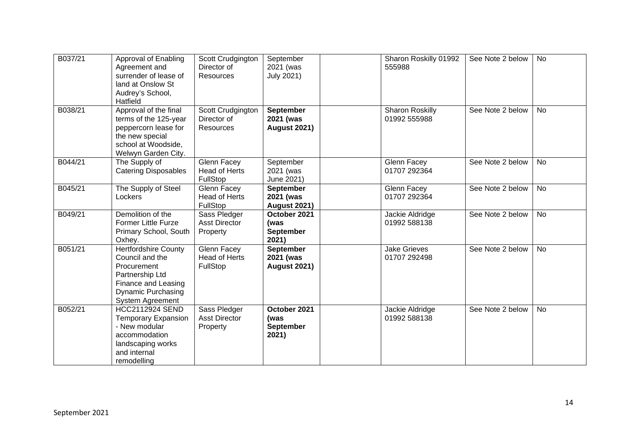| B037/21 | Approval of Enabling<br>Agreement and<br>surrender of lease of<br>land at Onslow St<br>Audrey's School,<br>Hatfield                                             | Scott Crudgington<br>Director of<br><b>Resources</b> | September<br>2021 (was<br><b>July 2021)</b>          | Sharon Roskilly 01992<br>555988        | See Note 2 below | No        |
|---------|-----------------------------------------------------------------------------------------------------------------------------------------------------------------|------------------------------------------------------|------------------------------------------------------|----------------------------------------|------------------|-----------|
| B038/21 | Approval of the final<br>terms of the 125-year<br>peppercorn lease for<br>the new special<br>school at Woodside,<br>Welwyn Garden City.                         | Scott Crudgington<br>Director of<br><b>Resources</b> | September<br>2021 (was<br><b>August 2021)</b>        | <b>Sharon Roskilly</b><br>01992 555988 | See Note 2 below | <b>No</b> |
| B044/21 | The Supply of<br><b>Catering Disposables</b>                                                                                                                    | Glenn Facey<br>Head of Herts<br>FullStop             | September<br>2021 (was<br>June 2021)                 | Glenn Facey<br>01707 292364            | See Note 2 below | <b>No</b> |
| B045/21 | The Supply of Steel<br>Lockers                                                                                                                                  | Glenn Facey<br><b>Head of Herts</b><br>FullStop      | <b>September</b><br>2021 (was<br><b>August 2021)</b> | Glenn Facey<br>01707 292364            | See Note 2 below | <b>No</b> |
| B049/21 | Demolition of the<br><b>Former Little Furze</b><br>Primary School, South<br>Oxhey.                                                                              | Sass Pledger<br><b>Asst Director</b><br>Property     | October 2021<br>(was<br><b>September</b><br>2021)    | Jackie Aldridge<br>01992 588138        | See Note 2 below | <b>No</b> |
| B051/21 | <b>Hertfordshire County</b><br>Council and the<br>Procurement<br>Partnership Ltd<br>Finance and Leasing<br><b>Dynamic Purchasing</b><br><b>System Agreement</b> | Glenn Facey<br><b>Head of Herts</b><br>FullStop      | September<br>2021 (was<br><b>August 2021)</b>        | <b>Jake Grieves</b><br>01707 292498    | See Note 2 below | <b>No</b> |
| B052/21 | <b>HCC2112924 SEND</b><br><b>Temporary Expansion</b><br>- New modular<br>accommodation<br>landscaping works<br>and internal<br>remodelling                      | Sass Pledger<br><b>Asst Director</b><br>Property     | October 2021<br>(was<br><b>September</b><br>2021)    | Jackie Aldridge<br>01992 588138        | See Note 2 below | No        |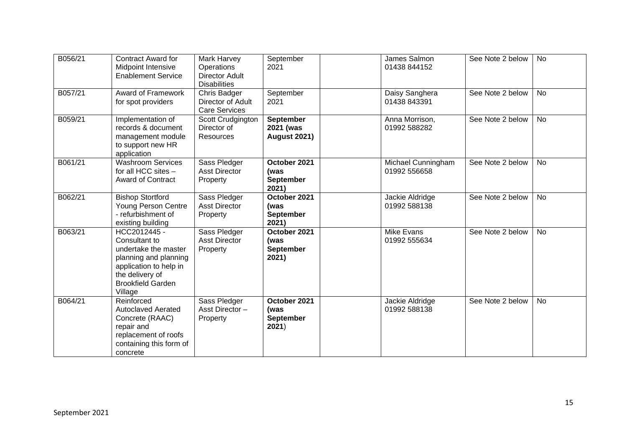| B056/21 | <b>Contract Award for</b><br><b>Midpoint Intensive</b><br><b>Enablement Service</b>                                                                                | Mark Harvey<br>Operations<br><b>Director Adult</b><br><b>Disabilities</b> | September<br>2021                                 | James Salmon<br>01438 844152       | See Note 2 below | <b>No</b> |
|---------|--------------------------------------------------------------------------------------------------------------------------------------------------------------------|---------------------------------------------------------------------------|---------------------------------------------------|------------------------------------|------------------|-----------|
| B057/21 | <b>Award of Framework</b><br>for spot providers                                                                                                                    | Chris Badger<br>Director of Adult<br><b>Care Services</b>                 | September<br>2021                                 | Daisy Sanghera<br>01438 843391     | See Note 2 below | <b>No</b> |
| B059/21 | Implementation of<br>records & document<br>management module<br>to support new HR<br>application                                                                   | Scott Crudgington<br>Director of<br>Resources                             | September<br>2021 (was<br><b>August 2021)</b>     | Anna Morrison,<br>01992 588282     | See Note 2 below | <b>No</b> |
| B061/21 | <b>Washroom Services</b><br>for all HCC sites $-$<br><b>Award of Contract</b>                                                                                      | Sass Pledger<br><b>Asst Director</b><br>Property                          | October 2021<br>(was<br><b>September</b><br>2021) | Michael Cunningham<br>01992 556658 | See Note 2 below | No        |
| B062/21 | <b>Bishop Stortford</b><br>Young Person Centre<br>- refurbishment of<br>existing building                                                                          | Sass Pledger<br><b>Asst Director</b><br>Property                          | October 2021<br>(was<br>September<br>2021)        | Jackie Aldridge<br>01992 588138    | See Note 2 below | No        |
| B063/21 | HCC2012445 -<br>Consultant to<br>undertake the master<br>planning and planning<br>application to help in<br>the delivery of<br><b>Brookfield Garden</b><br>Village | Sass Pledger<br><b>Asst Director</b><br>Property                          | October 2021<br>(was<br><b>September</b><br>2021) | Mike Evans<br>01992 555634         | See Note 2 below | <b>No</b> |
| B064/21 | Reinforced<br><b>Autoclaved Aerated</b><br>Concrete (RAAC)<br>repair and<br>replacement of roofs<br>containing this form of<br>concrete                            | Sass Pledger<br>Asst Director-<br>Property                                | October 2021<br>(was<br><b>September</b><br>2021) | Jackie Aldridge<br>01992 588138    | See Note 2 below | <b>No</b> |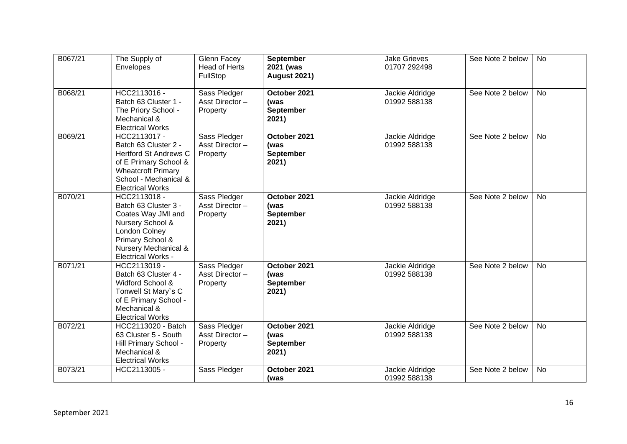| B067/21 | The Supply of<br>Envelopes                                                                                                                                                     | <b>Glenn Facey</b><br><b>Head of Herts</b><br><b>FullStop</b> | <b>September</b><br>2021 (was<br><b>August 2021)</b> | <b>Jake Grieves</b><br>01707 292498 | See Note 2 below | <b>No</b> |
|---------|--------------------------------------------------------------------------------------------------------------------------------------------------------------------------------|---------------------------------------------------------------|------------------------------------------------------|-------------------------------------|------------------|-----------|
| B068/21 | HCC2113016 -<br>Batch 63 Cluster 1 -<br>The Priory School -<br>Mechanical &<br><b>Electrical Works</b>                                                                         | Sass Pledger<br>Asst Director-<br>Property                    | October 2021<br>(was<br><b>September</b><br>2021)    | Jackie Aldridge<br>01992 588138     | See Note 2 below | <b>No</b> |
| B069/21 | HCC2113017 -<br>Batch 63 Cluster 2 -<br><b>Hertford St Andrews C</b><br>of E Primary School &<br><b>Wheatcroft Primary</b><br>School - Mechanical &<br><b>Electrical Works</b> | Sass Pledger<br>Asst Director-<br>Property                    | October 2021<br>(was<br><b>September</b><br>2021)    | Jackie Aldridge<br>01992 588138     | See Note 2 below | <b>No</b> |
| B070/21 | HCC2113018 -<br>Batch 63 Cluster 3 -<br>Coates Way JMI and<br>Nursery School &<br>London Colney<br>Primary School &<br>Nursery Mechanical &<br><b>Electrical Works -</b>       | Sass Pledger<br>Asst Director-<br>Property                    | October 2021<br>(was<br><b>September</b><br>2021)    | Jackie Aldridge<br>01992 588138     | See Note 2 below | <b>No</b> |
| B071/21 | HCC2113019 -<br>Batch 63 Cluster 4 -<br>Widford School &<br>Tonwell St Mary's C<br>of E Primary School -<br>Mechanical &<br><b>Electrical Works</b>                            | Sass Pledger<br>Asst Director-<br>Property                    | October 2021<br>(was<br><b>September</b><br>2021)    | Jackie Aldridge<br>01992 588138     | See Note 2 below | <b>No</b> |
| B072/21 | HCC2113020 - Batch<br>63 Cluster 5 - South<br>Hill Primary School -<br>Mechanical &<br><b>Electrical Works</b>                                                                 | Sass Pledger<br>Asst Director-<br>Property                    | October 2021<br>(was<br><b>September</b><br>2021)    | Jackie Aldridge<br>01992 588138     | See Note 2 below | <b>No</b> |
| B073/21 | HCC2113005 -                                                                                                                                                                   | Sass Pledger                                                  | October 2021<br>(was                                 | Jackie Aldridge<br>01992 588138     | See Note 2 below | <b>No</b> |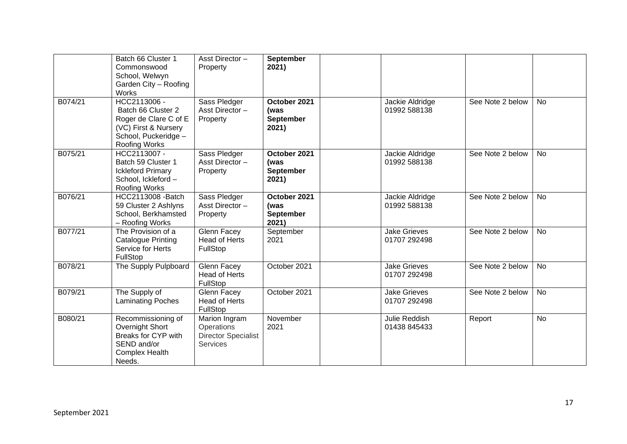|         | Batch 66 Cluster 1<br>Commonswood<br>School, Welwyn<br>Garden City - Roofing<br><b>Works</b>                                 | Asst Director-<br>Property                                                   | <b>September</b><br>2021)                         |                                     |                  |           |
|---------|------------------------------------------------------------------------------------------------------------------------------|------------------------------------------------------------------------------|---------------------------------------------------|-------------------------------------|------------------|-----------|
| B074/21 | HCC2113006 -<br>Batch 66 Cluster 2<br>Roger de Clare C of E<br>(VC) First & Nursery<br>School, Puckeridge -<br>Roofing Works | Sass Pledger<br>Asst Director-<br>Property                                   | October 2021<br>(was<br><b>September</b><br>2021) | Jackie Aldridge<br>01992 588138     | See Note 2 below | <b>No</b> |
| B075/21 | HCC2113007 -<br>Batch 59 Cluster 1<br><b>Ickleford Primary</b><br>School, Ickleford -<br><b>Roofing Works</b>                | Sass Pledger<br>Asst Director-<br>Property                                   | October 2021<br>(was<br><b>September</b><br>2021) | Jackie Aldridge<br>01992 588138     | See Note 2 below | <b>No</b> |
| B076/21 | HCC2113008 - Batch<br>59 Cluster 2 Ashlyns<br>School, Berkhamsted<br>- Roofing Works                                         | Sass Pledger<br>Asst Director-<br>Property                                   | October 2021<br>(was<br><b>September</b><br>2021) | Jackie Aldridge<br>01992 588138     | See Note 2 below | <b>No</b> |
| B077/21 | The Provision of a<br><b>Catalogue Printing</b><br>Service for Herts<br>FullStop                                             | <b>Glenn Facey</b><br><b>Head of Herts</b><br>FullStop                       | September<br>2021                                 | <b>Jake Grieves</b><br>01707 292498 | See Note 2 below | <b>No</b> |
| B078/21 | The Supply Pulpboard                                                                                                         | Glenn Facey<br>Head of Herts<br>FullStop                                     | October 2021                                      | <b>Jake Grieves</b><br>01707 292498 | See Note 2 below | <b>No</b> |
| B079/21 | The Supply of<br><b>Laminating Poches</b>                                                                                    | <b>Glenn Facey</b><br>Head of Herts<br>FullStop                              | October 2021                                      | <b>Jake Grieves</b><br>01707 292498 | See Note 2 below | <b>No</b> |
| B080/21 | Recommissioning of<br>Overnight Short<br>Breaks for CYP with<br>SEND and/or<br><b>Complex Health</b><br>Needs.               | Marion Ingram<br>Operations<br><b>Director Specialist</b><br><b>Services</b> | November<br>2021                                  | Julie Reddish<br>01438 845433       | Report           | <b>No</b> |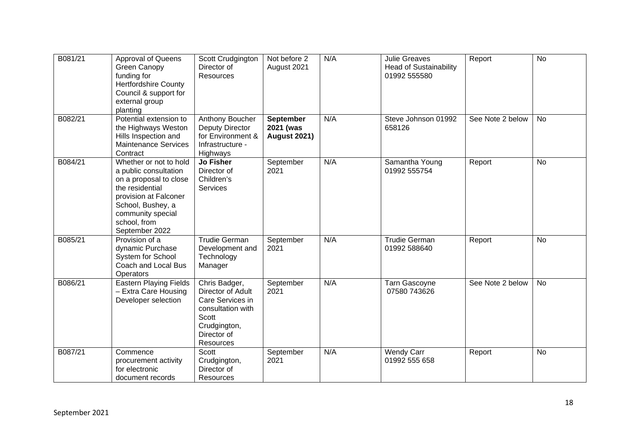| B081/21 | <b>Approval of Queens</b><br>Green Canopy<br>funding for<br><b>Hertfordshire County</b><br>Council & support for<br>external group<br>planting                                                    | Scott Crudgington<br>Director of<br><b>Resources</b>                                                                             | Not before 2<br>August 2021                          | N/A | <b>Julie Greaves</b><br><b>Head of Sustainability</b><br>01992 555580 | Report           | <b>No</b> |
|---------|---------------------------------------------------------------------------------------------------------------------------------------------------------------------------------------------------|----------------------------------------------------------------------------------------------------------------------------------|------------------------------------------------------|-----|-----------------------------------------------------------------------|------------------|-----------|
| B082/21 | Potential extension to<br>the Highways Weston<br>Hills Inspection and<br><b>Maintenance Services</b><br>Contract                                                                                  | Anthony Boucher<br>Deputy Director<br>for Environment &<br>Infrastructure -<br>Highways                                          | <b>September</b><br>2021 (was<br><b>August 2021)</b> | N/A | Steve Johnson 01992<br>658126                                         | See Note 2 below | <b>No</b> |
| B084/21 | Whether or not to hold<br>a public consultation<br>on a proposal to close<br>the residential<br>provision at Falconer<br>School, Bushey, a<br>community special<br>school, from<br>September 2022 | <b>Jo Fisher</b><br>Director of<br>Children's<br><b>Services</b>                                                                 | September<br>2021                                    | N/A | Samantha Young<br>01992 555754                                        | Report           | <b>No</b> |
| B085/21 | Provision of a<br>dynamic Purchase<br>System for School<br>Coach and Local Bus<br>Operators                                                                                                       | <b>Trudie German</b><br>Development and<br>Technology<br>Manager                                                                 | September<br>2021                                    | N/A | <b>Trudie German</b><br>01992 588640                                  | Report           | No        |
| B086/21 | <b>Eastern Playing Fields</b><br>- Extra Care Housing<br>Developer selection                                                                                                                      | Chris Badger,<br>Director of Adult<br>Care Services in<br>consultation with<br>Scott<br>Crudgington,<br>Director of<br>Resources | September<br>2021                                    | N/A | <b>Tarn Gascoyne</b><br>07580 743626                                  | See Note 2 below | <b>No</b> |
| B087/21 | Commence<br>procurement activity<br>for electronic<br>document records                                                                                                                            | Scott<br>Crudgington,<br>Director of<br>Resources                                                                                | September<br>2021                                    | N/A | <b>Wendy Carr</b><br>01992 555 658                                    | Report           | <b>No</b> |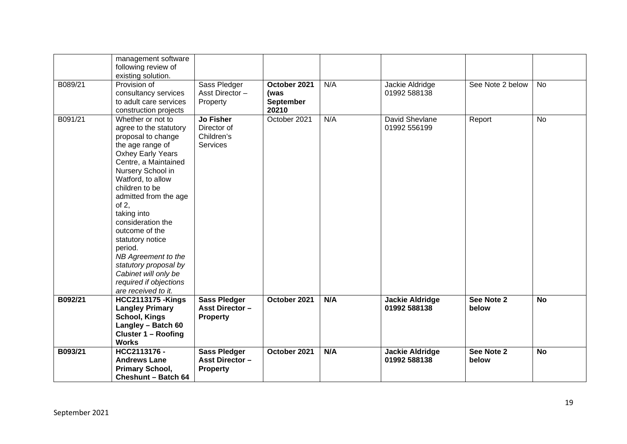| B089/21 | management software<br>following review of<br>existing solution.<br>Provision of<br>consultancy services<br>to adult care services                                                                                                                                                                                                                                                                                                                                        | Sass Pledger<br>Asst Director-<br>Property                       | October 2021<br>(was<br><b>September</b> | N/A | Jackie Aldridge<br>01992 588138        | See Note 2 below    | <b>No</b> |
|---------|---------------------------------------------------------------------------------------------------------------------------------------------------------------------------------------------------------------------------------------------------------------------------------------------------------------------------------------------------------------------------------------------------------------------------------------------------------------------------|------------------------------------------------------------------|------------------------------------------|-----|----------------------------------------|---------------------|-----------|
| B091/21 | construction projects<br>Whether or not to<br>agree to the statutory<br>proposal to change<br>the age range of<br>Oxhey Early Years<br>Centre, a Maintained<br>Nursery School in<br>Watford, to allow<br>children to be<br>admitted from the age<br>of $2,$<br>taking into<br>consideration the<br>outcome of the<br>statutory notice<br>period.<br>NB Agreement to the<br>statutory proposal by<br>Cabinet will only be<br>required if objections<br>are received to it. | <b>Jo Fisher</b><br>Director of<br>Children's<br><b>Services</b> | 20210<br>October 2021                    | N/A | David Shevlane<br>01992 556199         | Report              | <b>No</b> |
| B092/21 | <b>HCC2113175 -Kings</b><br><b>Langley Primary</b><br><b>School, Kings</b><br>Langley - Batch 60<br>Cluster 1 - Roofing<br><b>Works</b>                                                                                                                                                                                                                                                                                                                                   | <b>Sass Pledger</b><br><b>Asst Director -</b><br><b>Property</b> | October 2021                             | N/A | <b>Jackie Aldridge</b><br>01992 588138 | See Note 2<br>below | <b>No</b> |
| B093/21 | HCC2113176 -<br><b>Andrews Lane</b><br><b>Primary School,</b><br>Cheshunt - Batch 64                                                                                                                                                                                                                                                                                                                                                                                      | <b>Sass Pledger</b><br><b>Asst Director -</b><br><b>Property</b> | October 2021                             | N/A | <b>Jackie Aldridge</b><br>01992 588138 | See Note 2<br>below | <b>No</b> |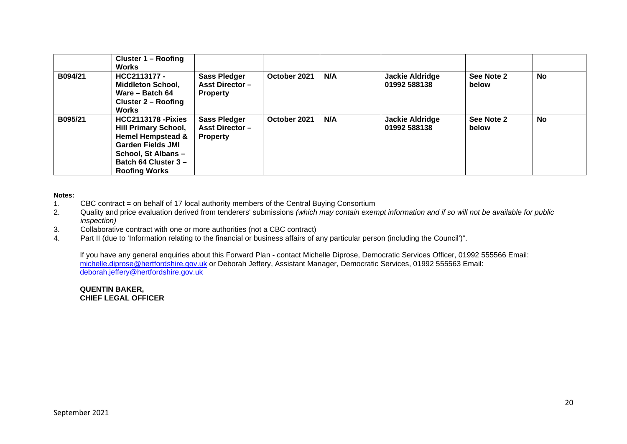|         | Cluster 1 – Roofing<br><b>Works</b>                                                                                                                                                         |                                                                  |              |     |                                        |                     |           |
|---------|---------------------------------------------------------------------------------------------------------------------------------------------------------------------------------------------|------------------------------------------------------------------|--------------|-----|----------------------------------------|---------------------|-----------|
| B094/21 | HCC2113177 -<br><b>Middleton School,</b><br>Ware - Batch 64<br><b>Cluster 2 - Roofing</b><br><b>Works</b>                                                                                   | <b>Sass Pledger</b><br><b>Asst Director -</b><br><b>Property</b> | October 2021 | N/A | <b>Jackie Aldridge</b><br>01992 588138 | See Note 2<br>below | <b>No</b> |
| B095/21 | <b>HCC2113178 - Pixies</b><br><b>Hill Primary School,</b><br><b>Hemel Hempstead &amp;</b><br><b>Garden Fields JMI</b><br>School, St Albans -<br>Batch 64 Cluster 3-<br><b>Roofing Works</b> | <b>Sass Pledger</b><br><b>Asst Director -</b><br><b>Property</b> | October 2021 | N/A | <b>Jackie Aldridge</b><br>01992 588138 | See Note 2<br>below | <b>No</b> |

#### **Notes:**

- 1. CBC contract = on behalf of 17 local authority members of the Central Buying Consortium<br>2. Quality and price evaluation derived from tenderers' submissions (which may contain exent
- 2. Quality and price evaluation derived from tenderers' submissions *(which may contain exempt information and if so will not be available for public inspection)*
- 3. Collaborative contract with one or more authorities (not a CBC contract)
- 4. Part II (due to 'Information relating to the financial or business affairs of any particular person (including the Council')".

If you have any general enquiries about this Forward Plan - contact Michelle Diprose, Democratic Services Officer, 01992 555566 Email: michelle.diprose@hertfordshire.gov.uk or Deborah Jeffery, Assistant Manager, Democratic Services, 01992 555563 Email: deborah.jeffery@hertfordshire.gov.uk

**QUENTIN BAKER, CHIEF LEGAL OFFICER**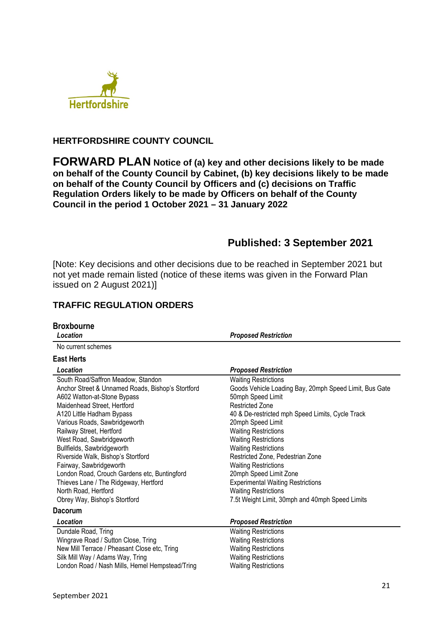

## **HERTFORDSHIRE COUNTY COUNCIL**

**FORWARD PLAN Notice of (a) key and other decisions likely to be made on behalf of the County Council by Cabinet, (b) key decisions likely to be made on behalf of the County Council by Officers and (c) decisions on Traffic Regulation Orders likely to be made by Officers on behalf of the County Council in the period 1 October 2021 – 31 January 2022** 

# **Published: 3 September 2021**

[Note: Key decisions and other decisions due to be reached in September 2021 but not yet made remain listed (notice of these items was given in the Forward Plan issued on 2 August 2021)]

## **TRAFFIC REGULATION ORDERS**

| <b>Broxbourne</b><br>Location                                                                                                                                                                                                                                                                                                                                                                                                                                                                                                 | <b>Proposed Restriction</b>                                                                                                                                                                                                                                                                                                                                                                                                                                                                                                           |
|-------------------------------------------------------------------------------------------------------------------------------------------------------------------------------------------------------------------------------------------------------------------------------------------------------------------------------------------------------------------------------------------------------------------------------------------------------------------------------------------------------------------------------|---------------------------------------------------------------------------------------------------------------------------------------------------------------------------------------------------------------------------------------------------------------------------------------------------------------------------------------------------------------------------------------------------------------------------------------------------------------------------------------------------------------------------------------|
| No current schemes                                                                                                                                                                                                                                                                                                                                                                                                                                                                                                            |                                                                                                                                                                                                                                                                                                                                                                                                                                                                                                                                       |
| <b>East Herts</b>                                                                                                                                                                                                                                                                                                                                                                                                                                                                                                             |                                                                                                                                                                                                                                                                                                                                                                                                                                                                                                                                       |
| Location                                                                                                                                                                                                                                                                                                                                                                                                                                                                                                                      | <b>Proposed Restriction</b>                                                                                                                                                                                                                                                                                                                                                                                                                                                                                                           |
| South Road/Saffron Meadow, Standon<br>Anchor Street & Unnamed Roads, Bishop's Stortford<br>A602 Watton-at-Stone Bypass<br>Maidenhead Street, Hertford<br>A120 Little Hadham Bypass<br>Various Roads, Sawbridgeworth<br>Railway Street, Hertford<br>West Road, Sawbridgeworth<br>Bullfields, Sawbridgeworth<br>Riverside Walk, Bishop's Stortford<br>Fairway, Sawbridgeworth<br>London Road, Crouch Gardens etc, Buntingford<br>Thieves Lane / The Ridgeway, Hertford<br>North Road, Hertford<br>Obrey Way, Bishop's Stortford | <b>Waiting Restrictions</b><br>Goods Vehicle Loading Bay, 20mph Speed Limit, Bus Gate<br>50mph Speed Limit<br><b>Restricted Zone</b><br>40 & De-restricted mph Speed Limits, Cycle Track<br>20mph Speed Limit<br><b>Waiting Restrictions</b><br><b>Waiting Restrictions</b><br><b>Waiting Restrictions</b><br>Restricted Zone, Pedestrian Zone<br><b>Waiting Restrictions</b><br>20mph Speed Limit Zone<br><b>Experimental Waiting Restrictions</b><br><b>Waiting Restrictions</b><br>7.5t Weight Limit, 30mph and 40mph Speed Limits |
| <b>Dacorum</b>                                                                                                                                                                                                                                                                                                                                                                                                                                                                                                                |                                                                                                                                                                                                                                                                                                                                                                                                                                                                                                                                       |
| Location                                                                                                                                                                                                                                                                                                                                                                                                                                                                                                                      | <b>Proposed Restriction</b>                                                                                                                                                                                                                                                                                                                                                                                                                                                                                                           |
| Dundale Road, Tring<br>Wingrave Road / Sutton Close, Tring<br>New Mill Terrace / Pheasant Close etc, Tring<br>Silk Mill Way / Adams Way, Tring<br>London Road / Nash Mills, Hemel Hempstead/Tring                                                                                                                                                                                                                                                                                                                             | <b>Waiting Restrictions</b><br><b>Waiting Restrictions</b><br><b>Waiting Restrictions</b><br><b>Waiting Restrictions</b><br><b>Waiting Restrictions</b>                                                                                                                                                                                                                                                                                                                                                                               |